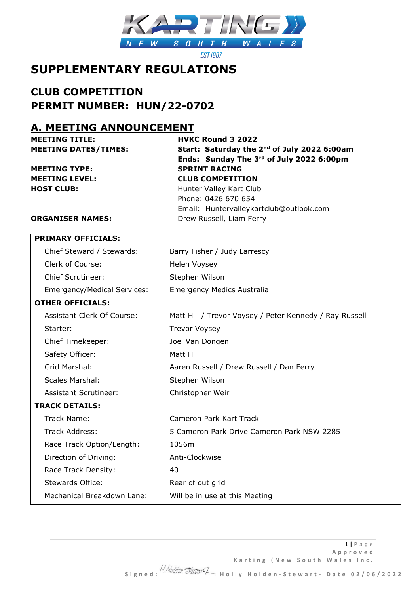

**EST 1987** 

# **SUPPLEMENTARY REGULATIONS**

## **CLUB COMPETITION PERMIT NUMBER: HUN/22-0702**

### **A. MEETING ANNOUNCEMENT**

**MEETING TYPE: SPRINT RACING**

**MEETING TITLE: HVKC Round 3 2022 MEETING DATES/TIMES: Start: Saturday the 2nd of July 2022 6:00am Ends: Sunday The 3rd of July 2022 6:00pm MEETING LEVEL: CLUB COMPETITION HOST CLUB:** Hunter Valley Kart Club Phone: 0426 670 654

Email: Huntervalleykartclub@outlook.com

### **ORGANISER NAMES:** Drew Russell, Liam Ferry

| <b>PRIMARY OFFICIALS:</b>          |                                                         |
|------------------------------------|---------------------------------------------------------|
| Chief Steward / Stewards:          | Barry Fisher / Judy Larrescy                            |
| Clerk of Course:                   | Helen Voysey                                            |
| <b>Chief Scrutineer:</b>           | Stephen Wilson                                          |
| <b>Emergency/Medical Services:</b> | <b>Emergency Medics Australia</b>                       |
| <b>OTHER OFFICIALS:</b>            |                                                         |
| Assistant Clerk Of Course:         | Matt Hill / Trevor Voysey / Peter Kennedy / Ray Russell |
| Starter:                           | <b>Trevor Voysey</b>                                    |
| Chief Timekeeper:                  | Joel Van Dongen                                         |
| Safety Officer:                    | Matt Hill                                               |
| Grid Marshal:                      | Aaren Russell / Drew Russell / Dan Ferry                |
| <b>Scales Marshal:</b>             | Stephen Wilson                                          |
| <b>Assistant Scrutineer:</b>       | Christopher Weir                                        |
| <b>TRACK DETAILS:</b>              |                                                         |
| Track Name:                        | Cameron Park Kart Track                                 |
| Track Address:                     | 5 Cameron Park Drive Cameron Park NSW 2285              |
| Race Track Option/Length:          | 1056m                                                   |
| Direction of Driving:              | Anti-Clockwise                                          |
| Race Track Density:                | 40                                                      |
| <b>Stewards Office:</b>            | Rear of out grid                                        |
| Mechanical Breakdown Lane:         | Will be in use at this Meeting                          |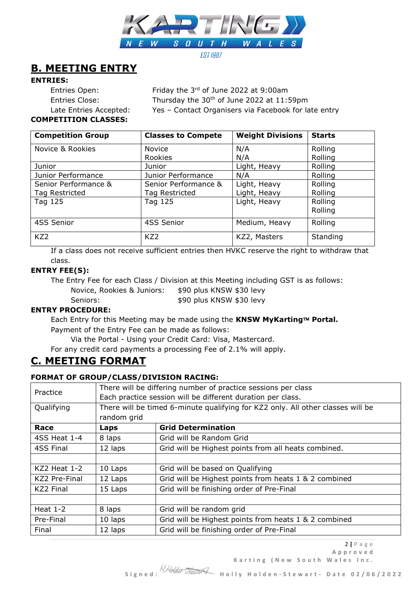

## **B. MEETING ENTRY**

#### **ENTRIES:**

Entries Open: Friday the 3rd of June 2022 at 9:00am

Entries Close: Thursday the 30<sup>th</sup> of June 2022 at 11:59pm Late Entries Accepted: Yes - Contact Organisers via Facebook for late entry

**COMPETITION CLASSES:**

| <b>Competition Group</b> | <b>Classes to Compete</b> | <b>Weight Divisions</b> | <b>Starts</b> |
|--------------------------|---------------------------|-------------------------|---------------|
| Novice & Rookies         | <b>Novice</b>             | N/A                     | Rolling       |
|                          | Rookies                   | N/A                     | Rolling       |
| Junior                   | Junior                    | Light, Heavy            | Rolling       |
| Junior Performance       | Junior Performance        | N/A                     | Rolling       |
| Senior Performance &     | Senior Performance &      | Light, Heavy            | Rolling       |
| Tag Restricted           | Tag Restricted            | Light, Heavy            | Rolling       |
| Tag 125                  | Tag 125                   | Light, Heavy            | Rolling       |
|                          |                           |                         | Rolling       |
| 4SS Senior               | 4SS Senior                | Medium, Heavy           | Rolling       |
| KZ <sub>2</sub>          | KZ <sub>2</sub>           | KZ2, Masters            | Standing      |

If a class does not receive sufficient entries then HVKC reserve the right to withdraw that class.

#### **ENTRY FEE(S):**

The Entry Fee for each Class / Division at this Meeting including GST is as follows:

Novice, Rookies & Juniors: \$90 plus KNSW \$30 levy

Seniors:  $$90$  plus KNSW \$30 levy

### **ENTRY PROCEDURE:**

Each Entry for this Meeting may be made using the KNSW MyKarting™ Portal. Payment of the Entry Fee can be made as follows:

Via the Portal - Using your Credit Card: Visa, Mastercard.

For any credit card payments a processing Fee of 2.1% will apply.

## **C. MEETING FORMAT**

### **FORMAT OF GROUP/CLASS/DIVISION RACING:**

| Practice       | There will be differing number of practice sessions per class |                                                                                 |  |  |  |  |
|----------------|---------------------------------------------------------------|---------------------------------------------------------------------------------|--|--|--|--|
|                | Each practice session will be different duration per class.   |                                                                                 |  |  |  |  |
| Qualifying     |                                                               | There will be timed 6-minute qualifying for KZ2 only. All other classes will be |  |  |  |  |
|                | random grid                                                   |                                                                                 |  |  |  |  |
| Race           | Laps                                                          | <b>Grid Determination</b>                                                       |  |  |  |  |
| 4SS Heat 1-4   | 8 laps                                                        | Grid will be Random Grid                                                        |  |  |  |  |
| 4SS Final      | 12 laps                                                       | Grid will be Highest points from all heats combined.                            |  |  |  |  |
|                |                                                               |                                                                                 |  |  |  |  |
| $KZ2$ Heat 1-2 | 10 Laps                                                       | Grid will be based on Qualifying                                                |  |  |  |  |
| KZ2 Pre-Final  | 12 Laps                                                       | Grid will be Highest points from heats 1 & 2 combined                           |  |  |  |  |
| KZ2 Final      | 15 Laps                                                       | Grid will be finishing order of Pre-Final                                       |  |  |  |  |
|                |                                                               |                                                                                 |  |  |  |  |
| Heat $1-2$     | 8 laps                                                        | Grid will be random grid                                                        |  |  |  |  |
| Pre-Final      | 10 laps                                                       | Grid will be Highest points from heats 1 & 2 combined                           |  |  |  |  |
| Final          | 12 laps                                                       | Grid will be finishing order of Pre-Final                                       |  |  |  |  |

Karting (New South Wales Inc.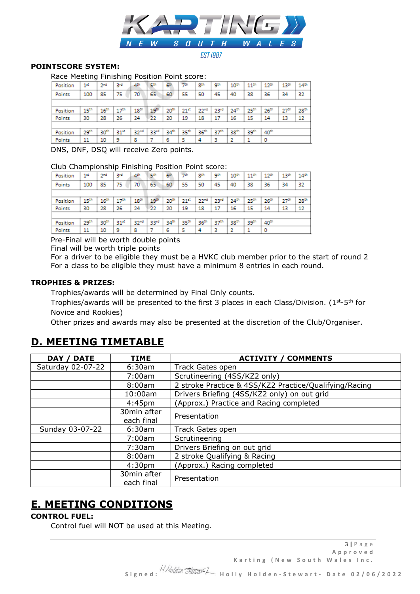

#### **EST 1987**

### **POINTSCORE SYSTEM:**

Race Meeting Finishing Position Point score:

| Position     | 12               | 2 <sup>nd</sup>  | 34               | 4th              | 5th | 6#               | アホ               | gth              | 9th              | 10 <sup>th</sup> | $11^{th}$        | $12^{th}$        | 13th | 14th             |
|--------------|------------------|------------------|------------------|------------------|-----|------------------|------------------|------------------|------------------|------------------|------------------|------------------|------|------------------|
| Points       | 100              | 85               | 75               | 70               | 65  | 60               | 55               | 50               | 45               | 40               | 38               | 36               | 34   | 32               |
|              |                  |                  |                  |                  |     |                  |                  |                  |                  |                  |                  |                  |      |                  |
| Position     | 15 <sup>th</sup> | 16 <sup>th</sup> | 17 <sup>th</sup> | 18 <sup>th</sup> | 19  | 20 <sup>m</sup>  | 21 <sup>n</sup>  | $22^{n0}$        | 23 <sup>rd</sup> | $24^{th}$        | 25th             | 26 <sup>th</sup> | 27°  | 28 <sup>th</sup> |
| Points       | 30               | 28               | 26               | 24               | 22  | 20               | 19               | 18               | 17               | 16               | 15               | 14               | 13   | 12               |
|              |                  |                  |                  |                  |     |                  |                  |                  |                  |                  |                  |                  |      |                  |
| Position     | 29 <sup>th</sup> | 30 <sup>th</sup> | 31*              | 32 <sup>nd</sup> | 33° | 34 <sup>th</sup> | 35 <sup>th</sup> | 36 <sup>th</sup> | 37 <sup>ch</sup> | 38th             | 39 <sup>th</sup> | 40 <sup>th</sup> |      |                  |
| Points       | 11               | 10               | 9                | 8                |     | 6                | 5                | 4                | a.               | 2                |                  | о                |      |                  |
| $\sim \cdot$ |                  | $\sim$ $\sim$    |                  | ٠                | -   |                  | . .              |                  |                  |                  |                  |                  |      |                  |

DNS, DNF, DSQ will receive Zero points.

Club Championship Finishing Position Point score:

| Position | 12            | $2^{\mathrm{nd}}$ | 3rd              | 4th              | 50               | 61               | 7th              | 8th              | 9th              | 10 <sup>th</sup> | $11^{th}$        | 12 <sup>th</sup> | 13 <sup>th</sup> | 14 <sup>th</sup> |
|----------|---------------|-------------------|------------------|------------------|------------------|------------------|------------------|------------------|------------------|------------------|------------------|------------------|------------------|------------------|
| Points   | 100           | 85                | 75               | 70               | 65               | 60               | 55               | 50               | 45               | 40               | 38               | 36               | 34               | 32               |
|          |               |                   |                  |                  |                  |                  |                  |                  |                  |                  |                  |                  |                  |                  |
| Position | $15^{\rm th}$ | 16 <sup>th</sup>  | 17 <sup>th</sup> | 18 <sup>th</sup> | 19 <sup>th</sup> | 20 <sup>th</sup> | $21^{n}$         | 22.0             | 23 <sup>rd</sup> | 24 <sup>th</sup> | 25th             | 26 <sup>th</sup> | 27 <sup>th</sup> | 28 <sup>th</sup> |
| Points   | 30            | 28                | 26               | 24               | 22               | 20               | 19               | 18               | 17               | 16               | 15               | 14               | 13               | 12               |
|          |               |                   |                  |                  |                  |                  |                  |                  |                  |                  |                  |                  |                  |                  |
| Position | 29th          | 30°               | 31*              | 32"°             | 33°              | 34th             | 35 <sup>th</sup> | 36 <sup>th</sup> | 37th             | 38 <sup>th</sup> | 39 <sup>th</sup> | 40 <sup>th</sup> |                  |                  |
| Points   | 11            | 10                | 9                | 8                |                  | 6                | 5                | 4                | ٦                | ,                | 1                | ٥                |                  |                  |

Pre-Final will be worth double points

Final will be worth triple points

For a driver to be eligible they must be a HVKC club member prior to the start of round 2 For a class to be eligible they must have a minimum 8 entries in each round.

### **TROPHIES & PRIZES:**

Trophies/awards will be determined by Final Only counts.

Trophies/awards will be presented to the first 3 places in each Class/Division. ( $1^{st}$ -5<sup>th</sup> for Novice and Rookies)

Other prizes and awards may also be presented at the discretion of the Club/Organiser.

## **D. MEETING TIMETABLE**

| <b>DATE</b><br>DAY / | <b>TIME</b>        | <b>ACTIVITY / COMMENTS</b>                             |
|----------------------|--------------------|--------------------------------------------------------|
| Saturday 02-07-22    | 6:30am             | Track Gates open                                       |
|                      | 7:00am             | Scrutineering (4SS/KZ2 only)                           |
|                      | 8:00am             | 2 stroke Practice & 4SS/KZ2 Practice/Qualifying/Racing |
|                      | 10:00am            | Drivers Briefing (4SS/KZ2 only) on out grid            |
|                      | 4:45 <sub>pm</sub> | (Approx.) Practice and Racing completed                |
|                      | 30min after        | Presentation                                           |
|                      | each final         |                                                        |
| Sunday 03-07-22      | 6:30am             | Track Gates open                                       |
|                      | 7:00am             | Scrutineering                                          |
|                      | 7:30am             | Drivers Briefing on out grid                           |
|                      | 8:00am             | 2 stroke Qualifying & Racing                           |
|                      | 4:30 <sub>pm</sub> | (Approx.) Racing completed                             |
|                      | 30min after        |                                                        |
|                      | each final         | Presentation                                           |

## **E. MEETING CONDITIONS**

### **CONTROL FUEL:**

Control fuel will NOT be used at this Meeting.

3 **|** P a g e